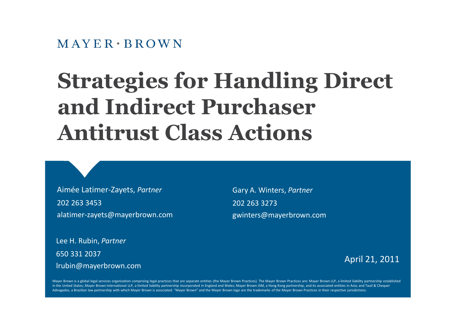$M$  AYER  $\cdot$  BROWN

# **Strategies for Handling Direct and Indirect Purchaser Antitrust Class Actions**

Aimée Latimer-Zayets, *Partner* 202 263 3453 alatimer-zayets@mayerbrown.com Gary A. Winters, *Partner* 202 263 3273 gwinters@mayerbrown.com

Lee H. Rubin, *Partner* 650 331 2037 lrubin@mayerbrown.com

April 21, 2011

Mayer Brown is a global legal services organization comprising legal practices that are separate entities (the Mayer Brown Practices). The Mayer Brown Practices are: Mayer Brown LLP, a limited liability partnership establi in the United States; Mayer Brown International LLP, a limited liability partnership incorporated in England and Wales; Mayer Brown JSM, a Hong Kong partnership, and its associated entities in Asia; and Tauil & Chequer Advogados, a Brazilian law partnership with which Mayer Brown is associated. "Mayer Brown" and the Mayer Brown logo are the trademarks of the Mayer Brown Practices in their respective jurisdictions.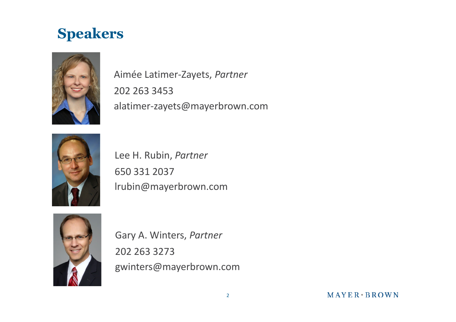#### **Speakers**



Aimée Latimer-Zayets, *Partner* 202 263 3453 alatimer-zayets@mayerbrown.com



Lee H. Rubin, *Partner* 650 331 2037 lrubin@mayerbrown.com



Gary A. Winters, *Partner* 202 263 3273 gwinters@mayerbrown.com

MAYER BROWN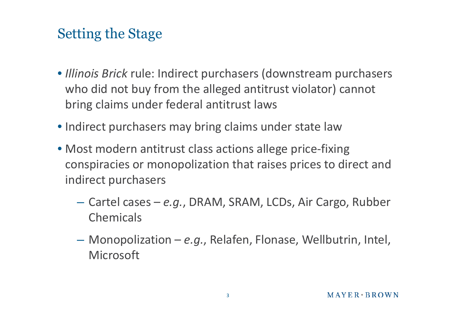### Setting the Stage

- *Illinois Brick* rule: Indirect purchasers (downstream purchasers who did not buy from the alleged antitrust violator) cannot bring claims under federal antitrust laws
- Indirect purchasers may bring claims under state law
- Most modern antitrust class actions allege price-fixing conspiracies or monopolization that raises prices to direct and indirect purchasers
	- Cartel cases *e.g.*, DRAM, SRAM, LCDs, Air Cargo, Rubber Chemicals
	- Monopolization *e.g.*, Relafen, Flonase, Wellbutrin, Intel, Microsoft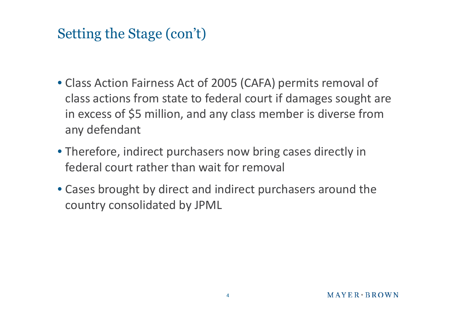# Setting the Stage (con't)

- Class Action Fairness Act of 2005 (CAFA) permits removal of class actions from state to federal court if damages sought are in excess of \$5 million, and any class member is diverse from any defendant
- Therefore, indirect purchasers now bring cases directly in federal court rather than wait for removal
- Cases brought by direct and indirect purchasers around the country consolidated by JPML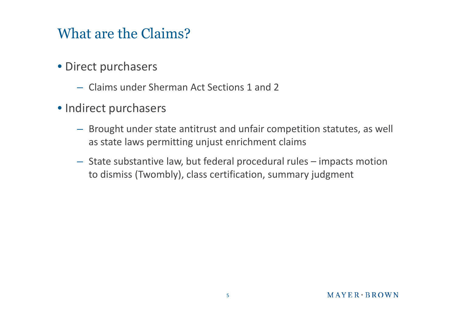#### What are the Claims?

- Direct purchasers
	- Claims under Sherman Act Sections 1 and 2
- Indirect purchasers
	- Brought under state antitrust and unfair competition statutes, as well as state laws permitting unjust enrichment claims
	- State substantive law, but federal procedural rules impacts motion to dismiss (Twombly), class certification, summary judgment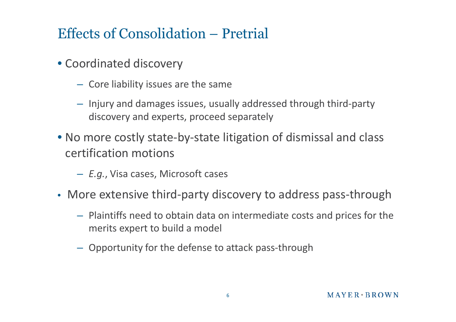# Effects of Consolidation – Pretrial

- Coordinated discovery
	- Core liability issues are the same
	- Injury and damages issues, usually addressed through third-party discovery and experts, proceed separately
- No more costly state-by-state litigation of dismissal and class certification motions
	- *E.g.*, Visa cases, Microsoft cases
- More extensive third-party discovery to address pass-through
	- Plaintiffs need to obtain data on intermediate costs and prices for the merits expert to build a model
	- Opportunity for the defense to attack pass-through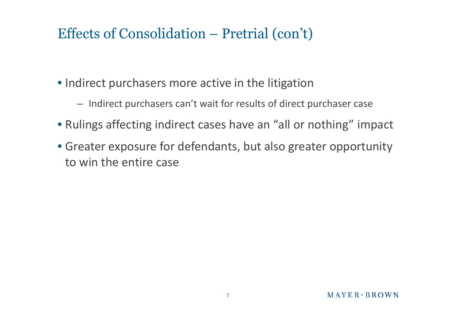# Effects of Consolidation – Pretrial (con't)

- Indirect purchasers more active in the litigation
	- Indirect purchasers can't wait for results of direct purchaser case
- Rulings affecting indirect cases have an "all or nothing" impact
- Greater exposure for defendants, but also greater opportunity to win the entire case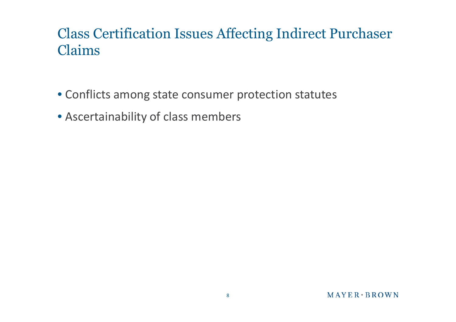# Class Certification Issues Affecting Indirect Purchaser Claims

- Conflicts among state consumer protection statutes
- Ascertainability of class members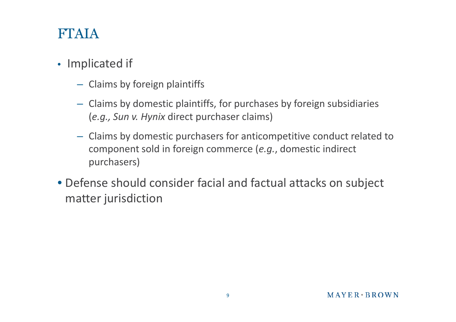#### FTAIA

#### • Implicated if

- Claims by foreign plaintiffs
- Claims by domestic plaintiffs, for purchases by foreign subsidiaries (*e.g., Sun v. Hynix* direct purchaser claims)
- Claims by domestic purchasers for anticompetitive conduct related to component sold in foreign commerce (*e.g.*, domestic indirect purchasers)
- Defense should consider facial and factual attacks on subject matter jurisdiction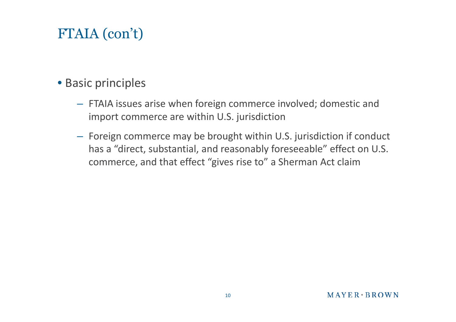# FTAIA (con't)

#### • Basic principles

- FTAIA issues arise when foreign commerce involved; domestic and import commerce are within U.S. jurisdiction
- Foreign commerce may be brought within U.S. jurisdiction if conduct has a "direct, substantial, and reasonably foreseeable" effect on U.S. commerce, and that effect "gives rise to" a Sherman Act claim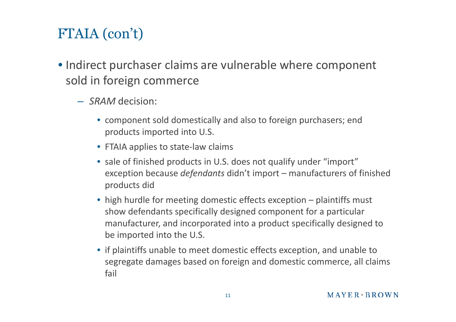# FTAIA (con't)

- Indirect purchaser claims are vulnerable where component sold in foreign commerce
	- *SRAM* decision:
		- component sold domestically and also to foreign purchasers; end products imported into U.S.
		- FTAIA applies to state-law claims
		- sale of finished products in U.S. does not qualify under "import" exception because *defendants* didn't import – manufacturers of finished products did
		- high hurdle for meeting domestic effects exception plaintiffs must show defendants specifically designed component for a particular manufacturer, and incorporated into a product specifically designed to be imported into the U.S.
		- if plaintiffs unable to meet domestic effects exception, and unable to segregate damages based on foreign and domestic commerce, all claims fail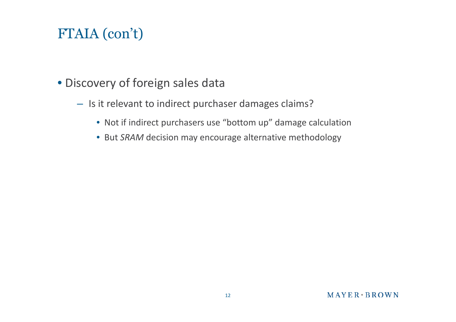# FTAIA (con't)

- Discovery of foreign sales data
	- Is it relevant to indirect purchaser damages claims?
		- Not if indirect purchasers use "bottom up" damage calculation
		- But *SRAM* decision may encourage alternative methodology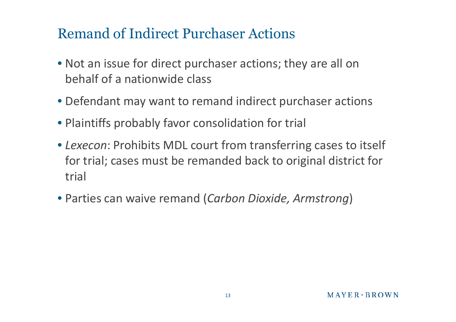#### Remand of Indirect Purchaser Actions

- Not an issue for direct purchaser actions; they are all on behalf of a nationwide class
- Defendant may want to remand indirect purchaser actions
- Plaintiffs probably favor consolidation for trial
- *Lexecon*: Prohibits MDL court from transferring cases to itself for trial; cases must be remanded back to original district for trial
- Parties can waive remand (*Carbon Dioxide, Armstrong*)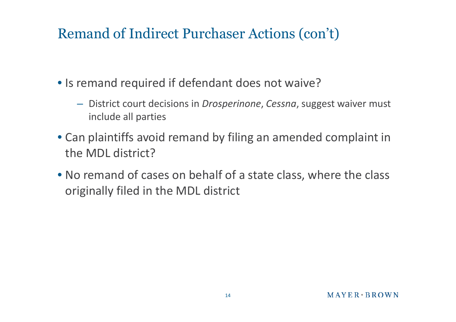# Remand of Indirect Purchaser Actions (con't)

- Is remand required if defendant does not waive?
	- District court decisions in *Drosperinone*, *Cessna*, suggest waiver must include all parties
- Can plaintiffs avoid remand by filing an amended complaint in the MDL district?
- No remand of cases on behalf of a state class, where the class originally filed in the MDL district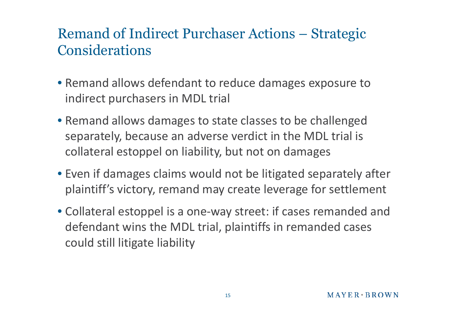# Remand of Indirect Purchaser Actions – Strategic Considerations

- Remand allows defendant to reduce damages exposure to indirect purchasers in MDL trial
- Remand allows damages to state classes to be challenged separately, because an adverse verdict in the MDL trial is collateral estoppel on liability, but not on damages
- Even if damages claims would not be litigated separately after plaintiff's victory, remand may create leverage for settlement
- Collateral estoppel is a one-way street: if cases remanded and defendant wins the MDL trial, plaintiffs in remanded cases could still litigate liability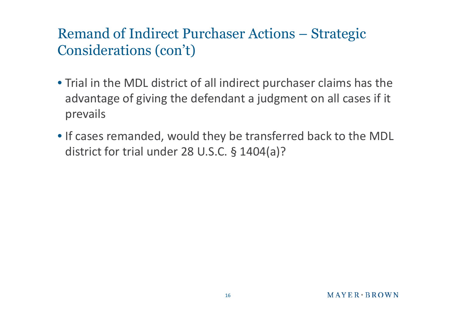# Remand of Indirect Purchaser Actions – Strategic Considerations (con't)

- Trial in the MDL district of all indirect purchaser claims has the advantage of giving the defendant a judgment on all cases if it prevails
- If cases remanded, would they be transferred back to the MDL district for trial under 28 U.S.C. § 1404(a)?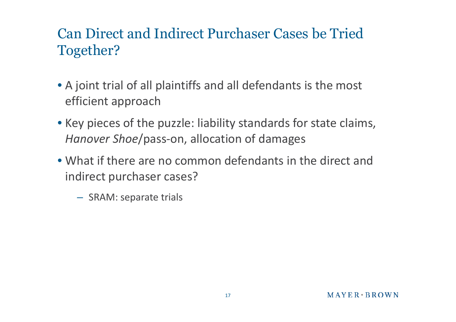# Can Direct and Indirect Purchaser Cases be Tried Together?

- A joint trial of all plaintiffs and all defendants is the most efficient approach
- Key pieces of the puzzle: liability standards for state claims, *Hanover Shoe*/pass-on, allocation of damages
- What if there are no common defendants in the direct and indirect purchaser cases?
	- SRAM: separate trials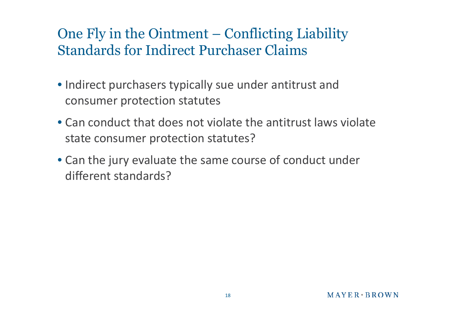# One Fly in the Ointment – Conflicting Liability Standards for Indirect Purchaser Claims

- Indirect purchasers typically sue under antitrust and consumer protection statutes
- Can conduct that does not violate the antitrust laws violate state consumer protection statutes?
- Can the jury evaluate the same course of conduct under different standards?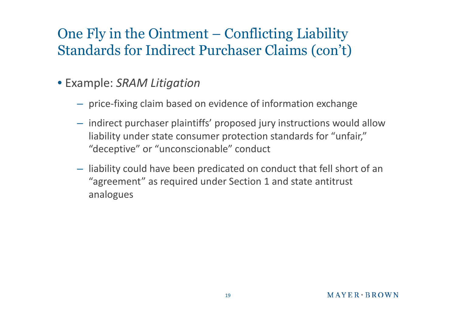# One Fly in the Ointment – Conflicting Liability Standards for Indirect Purchaser Claims (con't)

- Example: *SRAM Litigation*
	- price-fixing claim based on evidence of information exchange
	- indirect purchaser plaintiffs' proposed jury instructions would allow liability under state consumer protection standards for "unfair," "deceptive" or "unconscionable" conduct
	- liability could have been predicated on conduct that fell short of an "agreement" as required under Section 1 and state antitrust analogues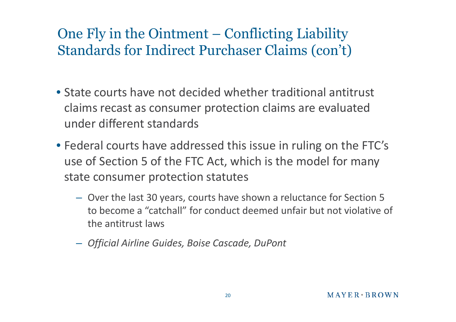# One Fly in the Ointment – Conflicting Liability Standards for Indirect Purchaser Claims (con't)

- State courts have not decided whether traditional antitrust claims recast as consumer protection claims are evaluated under different standards
- Federal courts have addressed this issue in ruling on the FTC's use of Section 5 of the FTC Act, which is the model for many state consumer protection statutes
	- Over the last 30 years, courts have shown a reluctance for Section 5 to become a "catchall" for conduct deemed unfair but not violative of the antitrust laws
	- *Official Airline Guides, Boise Cascade, DuPont*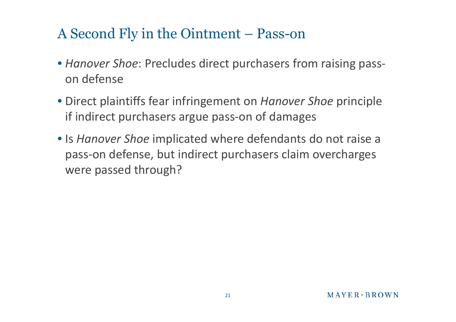#### A Second Fly in the Ointment – Pass-on

- *Hanover Shoe*: Precludes direct purchasers from raising passon defense
- Direct plaintiffs fear infringement on *Hanover Shoe* principle if indirect purchasers argue pass-on of damages
- Is *Hanover Shoe* implicated where defendants do not raise a pass-on defense, but indirect purchasers claim overcharges were passed through?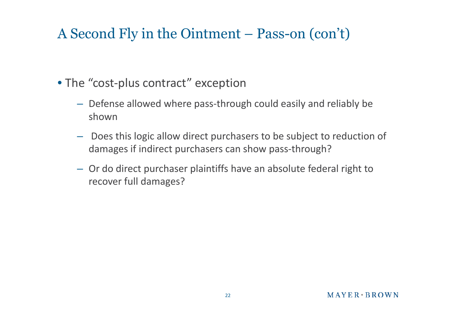#### A Second Fly in the Ointment – Pass-on (con't)

- The "cost-plus contract" exception
	- Defense allowed where pass-through could easily and reliably be shown
	- Does this logic allow direct purchasers to be subject to reduction of damages if indirect purchasers can show pass-through?
	- Or do direct purchaser plaintiffs have an absolute federal right to recover full damages?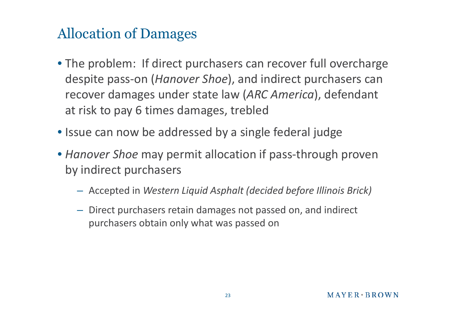# Allocation of Damages

- The problem: If direct purchasers can recover full overcharge despite pass-on (*Hanover Shoe*), and indirect purchasers can recover damages under state law (*ARC America*), defendant at risk to pay 6 times damages, trebled
- Issue can now be addressed by a single federal judge
- *Hanover Shoe* may permit allocation if pass-through proven by indirect purchasers
	- Accepted in *Western Liquid Asphalt (decided before Illinois Brick)*
	- Direct purchasers retain damages not passed on, and indirect purchasers obtain only what was passed on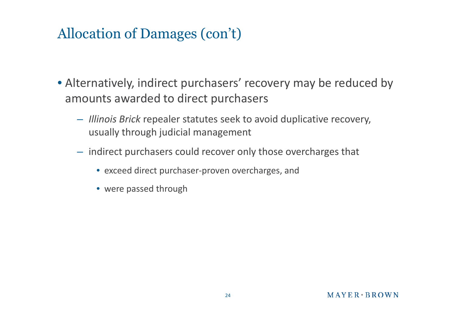# Allocation of Damages (con't)

- Alternatively, indirect purchasers' recovery may be reduced by amounts awarded to direct purchasers
	- *Illinois Brick* repealer statutes seek to avoid duplicative recovery, usually through judicial management
	- indirect purchasers could recover only those overcharges that
		- exceed direct purchaser-proven overcharges, and
		- were passed through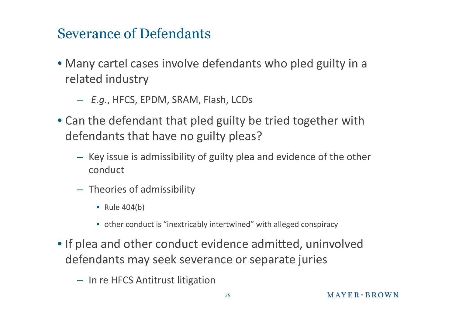#### Severance of Defendants

- Many cartel cases involve defendants who pled guilty in a related industry
	- *E.g.*, HFCS, EPDM, SRAM, Flash, LCDs
- Can the defendant that pled guilty be tried together with defendants that have no guilty pleas?
	- Key issue is admissibility of guilty plea and evidence of the other conduct
	- Theories of admissibility
		- Rule 404(b)
		- other conduct is "inextricably intertwined" with alleged conspiracy
- If plea and other conduct evidence admitted, uninvolved defendants may seek severance or separate juries
	- In re HFCS Antitrust litigation